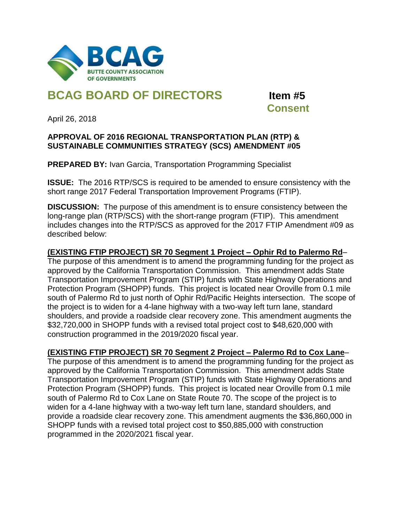

# **BCAG BOARD OF DIRECTORS Item #5**

 **Consent**

April 26, 2018

#### **APPROVAL OF 2016 REGIONAL TRANSPORTATION PLAN (RTP) & SUSTAINABLE COMMUNITIES STRATEGY (SCS) AMENDMENT #05**

**PREPARED BY: Ivan Garcia, Transportation Programming Specialist** 

**ISSUE:** The 2016 RTP/SCS is required to be amended to ensure consistency with the short range 2017 Federal Transportation Improvement Programs (FTIP).

**DISCUSSION:** The purpose of this amendment is to ensure consistency between the long-range plan (RTP/SCS) with the short-range program (FTIP). This amendment includes changes into the RTP/SCS as approved for the 2017 FTIP Amendment #09 as described below:

# **(EXISTING FTIP PROJECT) SR 70 Segment 1 Project – Ophir Rd to Palermo Rd**–

The purpose of this amendment is to amend the programming funding for the project as approved by the California Transportation Commission. This amendment adds State Transportation Improvement Program (STIP) funds with State Highway Operations and Protection Program (SHOPP) funds. This project is located near Oroville from 0.1 mile south of Palermo Rd to just north of Ophir Rd/Pacific Heights intersection. The scope of the project is to widen for a 4-lane highway with a two-way left turn lane, standard shoulders, and provide a roadside clear recovery zone. This amendment augments the \$32,720,000 in SHOPP funds with a revised total project cost to \$48,620,000 with construction programmed in the 2019/2020 fiscal year.

### **(EXISTING FTIP PROJECT) SR 70 Segment 2 Project – Palermo Rd to Cox Lane**–

The purpose of this amendment is to amend the programming funding for the project as approved by the California Transportation Commission. This amendment adds State Transportation Improvement Program (STIP) funds with State Highway Operations and Protection Program (SHOPP) funds. This project is located near Oroville from 0.1 mile south of Palermo Rd to Cox Lane on State Route 70. The scope of the project is to widen for a 4-lane highway with a two-way left turn lane, standard shoulders, and provide a roadside clear recovery zone. This amendment augments the \$36,860,000 in SHOPP funds with a revised total project cost to \$50,885,000 with construction programmed in the 2020/2021 fiscal year.